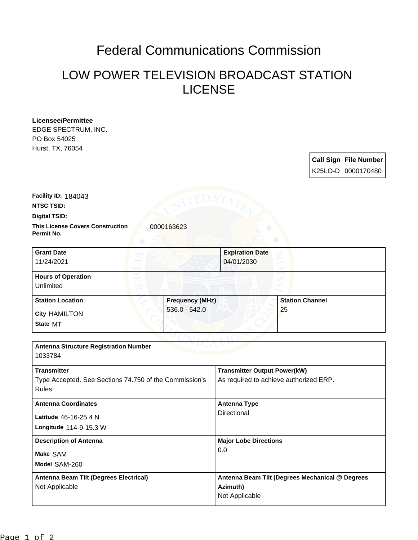## Federal Communications Commission

## LOW POWER TELEVISION BROADCAST STATION LICENSE

| Licensee/Permittee                                                  |                                                 |
|---------------------------------------------------------------------|-------------------------------------------------|
| EDGE SPECTRUM, INC.                                                 |                                                 |
| PO Box 54025                                                        |                                                 |
| Hurst, TX, 76054                                                    |                                                 |
|                                                                     | <b>Call Sign File Number</b>                    |
|                                                                     | K25LO-D 0000170480                              |
|                                                                     |                                                 |
|                                                                     |                                                 |
| Facility ID: 184043                                                 |                                                 |
| <b>NTSC TSID:</b>                                                   |                                                 |
| Digital TSID:                                                       |                                                 |
| <b>This License Covers Construction</b><br>0000163623<br>Permit No. |                                                 |
| <b>Grant Date</b>                                                   | <b>Expiration Date</b>                          |
| 11/24/2021                                                          | 04/01/2030                                      |
|                                                                     |                                                 |
| <b>Hours of Operation</b>                                           |                                                 |
| Unlimited                                                           |                                                 |
| <b>Frequency (MHz)</b><br><b>Station Location</b>                   | <b>Station Channel</b>                          |
| $536.0 - 542.0$<br><b>City HAMILTON</b>                             | 25                                              |
| State MT                                                            |                                                 |
|                                                                     |                                                 |
|                                                                     |                                                 |
| <b>Antenna Structure Registration Number</b>                        |                                                 |
| 1033784                                                             |                                                 |
| <b>Transmitter</b>                                                  | <b>Transmitter Output Power(kW)</b>             |
| Type Accepted. See Sections 74.750 of the Commission's              | As required to achieve authorized ERP.          |
| Rules.                                                              |                                                 |
|                                                                     |                                                 |
| <b>Antenna Coordinates</b>                                          | <b>Antenna Type</b>                             |
| Latitude 46-16-25.4 N                                               | Directional                                     |
| Longitude 114-9-15.3 W                                              |                                                 |
|                                                                     |                                                 |
| <b>Description of Antenna</b>                                       | <b>Major Lobe Directions</b>                    |
| Make SAM                                                            | 0.0                                             |
| Model SAM-260                                                       |                                                 |
|                                                                     |                                                 |
| Antenna Beam Tilt (Degrees Electrical)                              | Antenna Beam Tilt (Degrees Mechanical @ Degrees |
| Not Applicable                                                      | Azimuth)                                        |
|                                                                     | Not Applicable                                  |